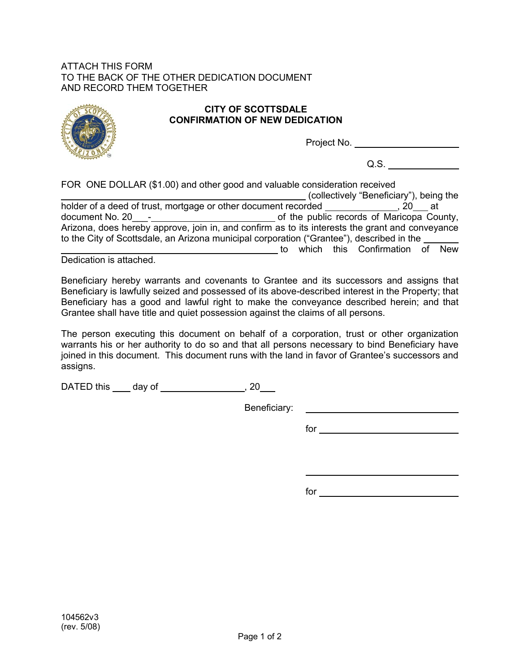## ATTACH THIS FORM TO THE BACK OF THE OTHER DEDICATION DOCUMENT AND RECORD THEM TOGETHER



## **CITY OF SCOTTSDALE CONFIRMATION OF NEW DEDICATION**

Project No.

Q.S.

FOR ONE DOLLAR (\$1.00) and other good and valuable consideration received (collectively "Beneficiary"), being the holder of a deed of trust, mortgage or other document recorded \_\_\_\_\_\_\_\_\_\_\_\_\_\_\_\_\_, 20\_\_\_\_ at document No. 20\_\_\_- of the public records of Maricopa County, Arizona, does hereby approve, join in, and confirm as to its interests the grant and conveyance to the City of Scottsdale, an Arizona municipal corporation ("Grantee"), described in the to which this Confirmation of New

Dedication is attached.

Beneficiary hereby warrants and covenants to Grantee and its successors and assigns that Beneficiary is lawfully seized and possessed of its above-described interest in the Property; that Beneficiary has a good and lawful right to make the conveyance described herein; and that Grantee shall have title and quiet possession against the claims of all persons.

The person executing this document on behalf of a corporation, trust or other organization warrants his or her authority to do so and that all persons necessary to bind Beneficiary have joined in this document. This document runs with the land in favor of Grantee's successors and assigns.

DATED this \_\_\_\_\_ day of \_\_\_\_\_\_\_\_\_\_\_\_\_\_\_\_\_\_\_\_, 20\_\_\_\_

Beneficiary:

for

<u>and the contract of the contract of the contract of the contract of the contract of the contract of the contract of the contract of the contract of the contract of the contract of the contract of the contract of the contr</u>

for the contract of the contract of the contract of the contract of the contract of the contract of the contract of the contract of the contract of the contract of the contract of the contract of the contract of the contra